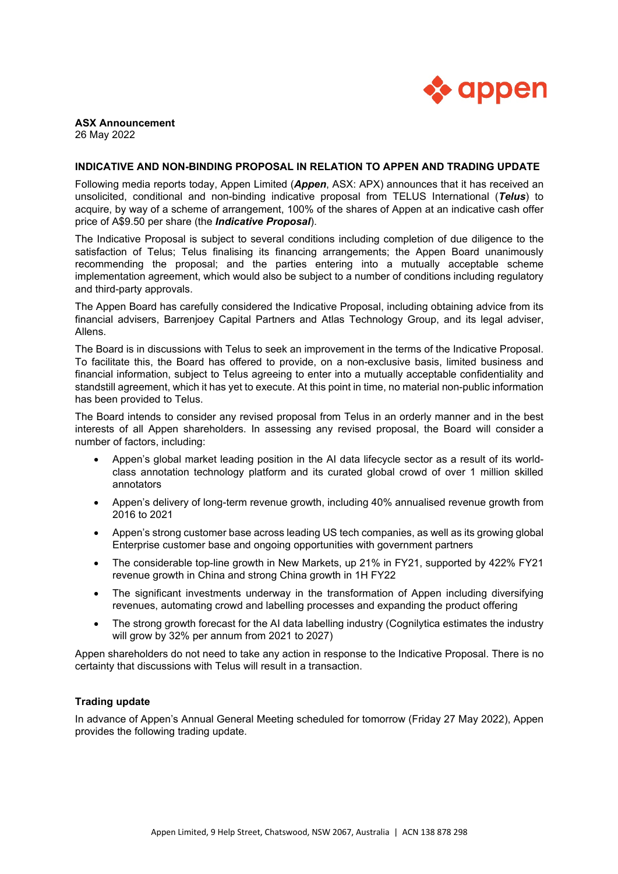

# **ASX Announcement**

26 May 2022

## **INDICATIVE AND NON-BINDING PROPOSAL IN RELATION TO APPEN AND TRADING UPDATE**

Following media reports today, Appen Limited (*Appen*, ASX: APX) announces that it has received an unsolicited, conditional and non-binding indicative proposal from TELUS International (*Telus*) to acquire, by way of a scheme of arrangement, 100% of the shares of Appen at an indicative cash offer price of A\$9.50 per share (the *Indicative Proposal*).

The Indicative Proposal is subject to several conditions including completion of due diligence to the satisfaction of Telus; Telus finalising its financing arrangements; the Appen Board unanimously recommending the proposal; and the parties entering into a mutually acceptable scheme implementation agreement, which would also be subject to a number of conditions including regulatory and third-party approvals.

The Appen Board has carefully considered the Indicative Proposal, including obtaining advice from its financial advisers, Barrenjoey Capital Partners and Atlas Technology Group, and its legal adviser, Allens.

The Board is in discussions with Telus to seek an improvement in the terms of the Indicative Proposal. To facilitate this, the Board has offered to provide, on a non-exclusive basis, limited business and financial information, subject to Telus agreeing to enter into a mutually acceptable confidentiality and standstill agreement, which it has yet to execute. At this point in time, no material non-public information has been provided to Telus.

The Board intends to consider any revised proposal from Telus in an orderly manner and in the best interests of all Appen shareholders. In assessing any revised proposal, the Board will consider a number of factors, including:

- Appen's global market leading position in the AI data lifecycle sector as a result of its worldclass annotation technology platform and its curated global crowd of over 1 million skilled annotators
- Appen's delivery of long-term revenue growth, including 40% annualised revenue growth from 2016 to 2021
- Appen's strong customer base across leading US tech companies, as well as its growing global Enterprise customer base and ongoing opportunities with government partners
- The considerable top-line growth in New Markets, up 21% in FY21, supported by 422% FY21 revenue growth in China and strong China growth in 1H FY22
- The significant investments underway in the transformation of Appen including diversifying revenues, automating crowd and labelling processes and expanding the product offering
- The strong growth forecast for the AI data labelling industry (Cognilytica estimates the industry will grow by 32% per annum from 2021 to 2027)

Appen shareholders do not need to take any action in response to the Indicative Proposal. There is no certainty that discussions with Telus will result in a transaction.

## **Trading update**

In advance of Appen's Annual General Meeting scheduled for tomorrow (Friday 27 May 2022), Appen provides the following trading update.